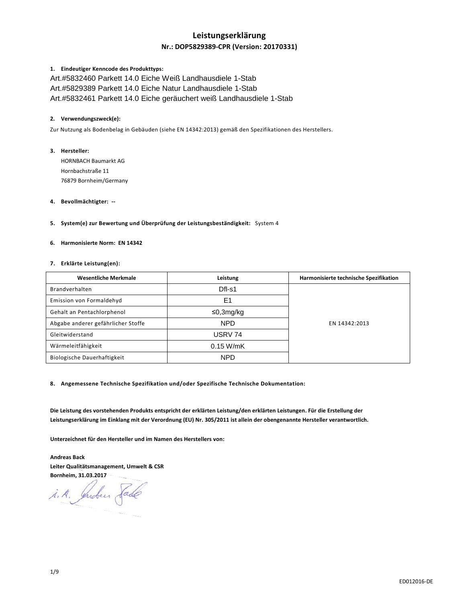# **Leistungserklärung**

# **Nr.: DOP5829389-CPR (Version: 20170331)**

### **1. Eindeutiger Kenncode des Produkttyps:**

Art.#5832460 Parkett 14.0 Eiche Weiß Landhausdiele 1-Stab Art.#5829389 Parkett 14.0 Eiche Natur Landhausdiele 1-Stab Art.#5832461 Parkett 14.0 Eiche geräuchert weiß Landhausdiele 1-Stab

### **2. Verwendungszweck(e):**

Zur Nutzung als Bodenbelag in Gebäuden (siehe EN 14342:2013) gemäß den Spezifikationen des Herstellers.

# **3. Hersteller:**

HORNBACH Baumarkt AG Hornbachstraße 11 76879 Bornheim/Germany

## **4. Bevollmächtigter: --**

**5. System(e) zur Bewertung und Überprüfung der Leistungsbeständigkeit:** System 4

# **6. Harmonisierte Norm: EN 14342**

## **7. Erklärte Leistung(en):**

| <b>Wesentliche Merkmale</b>        | Leistung    | Harmonisierte technische Spezifikation |
|------------------------------------|-------------|----------------------------------------|
| Brandverhalten                     | Dfl-s1      |                                        |
| Emission von Formaldehyd           | E1          |                                        |
| Gehalt an Pentachlorphenol         | ≤0,3mg/kg   | EN 14342:2013                          |
| Abgabe anderer gefährlicher Stoffe | <b>NPD</b>  |                                        |
| Gleitwiderstand                    | USRV 74     |                                        |
| Wärmeleitfähigkeit                 | $0.15$ W/mK |                                        |
| Biologische Dauerhaftigkeit        | <b>NPD</b>  |                                        |

**8. Angemessene Technische Spezifikation und/oder Spezifische Technische Dokumentation:** 

**Die Leistung des vorstehenden Produkts entspricht der erklärten Leistung/den erklärten Leistungen. Für die Erstellung der Leistungserklärung im Einklang mit der Verordnung (EU) Nr. 305/2011 ist allein der obengenannte Hersteller verantwortlich.** 

**Unterzeichnet für den Hersteller und im Namen des Herstellers von:** 

**Andreas Back Leiter Qualitätsmanagement, Umwelt & CSR Bornheim, 31.03.2017** 

i.A. Indees Sade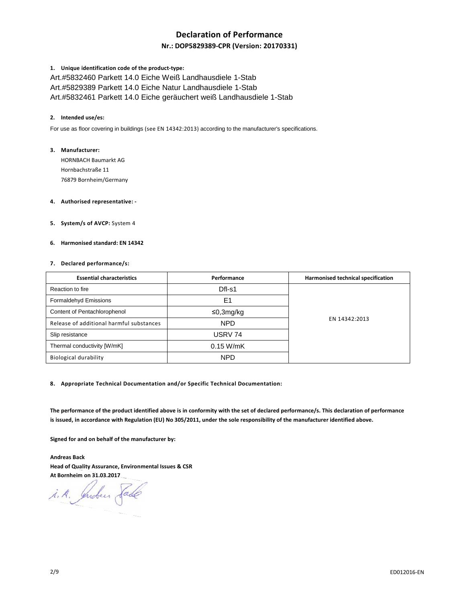# **Declaration of Performance**

# **Nr.: DOP5829389-CPR (Version: 20170331)**

## **1. Unique identification code of the product-type:**

Art.#5832460 Parkett 14.0 Eiche Weiß Landhausdiele 1-Stab Art.#5829389 Parkett 14.0 Eiche Natur Landhausdiele 1-Stab Art.#5832461 Parkett 14.0 Eiche geräuchert weiß Landhausdiele 1-Stab

### **2. Intended use/es:**

For use as floor covering in buildings (see EN 14342:2013) according to the manufacturer's specifications.

### **3. Manufacturer:**

HORNBACH Baumarkt AG Hornbachstraße 11 76879 Bornheim/Germany

# **4. Authorised representative: -**

**5. System/s of AVCP:** System 4

## **6. Harmonised standard: EN 14342**

### **7. Declared performance/s:**

| <b>Essential characteristics</b>         | Performance | Harmonised technical specification |
|------------------------------------------|-------------|------------------------------------|
| Reaction to fire                         | Dfl-s1      |                                    |
| Formaldehyd Emissions                    | E1          |                                    |
| Content of Pentachlorophenol             | ≤0,3mg/kg   | EN 14342:2013                      |
| Release of additional harmful substances | <b>NPD</b>  |                                    |
| Slip resistance                          | USRV 74     |                                    |
| Thermal conductivity [W/mK]              | $0.15$ W/mK |                                    |
| <b>Biological durability</b>             | <b>NPD</b>  |                                    |

**8. Appropriate Technical Documentation and/or Specific Technical Documentation:** 

**The performance of the product identified above is in conformity with the set of declared performance/s. This declaration of performance is issued, in accordance with Regulation (EU) No 305/2011, under the sole responsibility of the manufacturer identified above.** 

**Signed for and on behalf of the manufacturer by:** 

**Andreas Back Head of Quality Assurance, Environmental Issues & CSR At Bornheim on 31.03.2017** 

i. A. Juden Sade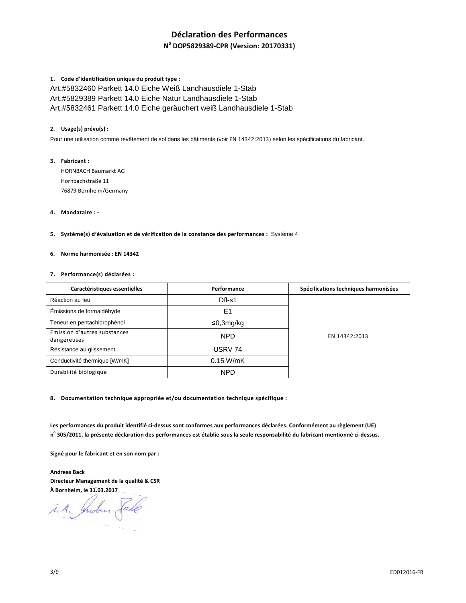# **Déclaration des Performances**

**N o DOP5829389-CPR (Version: 20170331)**

# **1. Code d'identification unique du produit type :**

Art.#5832460 Parkett 14.0 Eiche Weiß Landhausdiele 1-Stab Art.#5829389 Parkett 14.0 Eiche Natur Landhausdiele 1-Stab Art.#5832461 Parkett 14.0 Eiche geräuchert weiß Landhausdiele 1-Stab

## **2. Usage(s) prévu(s) :**

Pour une utilisation comme revêtement de sol dans les bâtiments (voir EN 14342:2013) selon les spécifications du fabricant.

**3. Fabricant :**  HORNBACH Baumarkt AG Hornbachstraße 11 76879 Bornheim/Germany

## **4. Mandataire : -**

**5. Système(s) d'évaluation et de vérification de la constance des performances :** Système 4

#### **6. Norme harmonisée : EN 14342**

## **7. Performance(s) déclarées :**

| Caractéristiques essentielles               | Performance    | Spécifications techniques harmonisées |
|---------------------------------------------|----------------|---------------------------------------|
| Réaction au feu                             | $DfI-S1$       |                                       |
| Émissions de formaldéhyde                   | E <sub>1</sub> |                                       |
| Teneur en pentachlorophénol                 | ≤0,3mg/kg      |                                       |
| Emission d'autres substances<br>dangereuses | <b>NPD</b>     | EN 14342:2013                         |
| Résistance au glissement                    | USRV 74        |                                       |
| Conductivité thermique [W/mK]               | $0.15$ W/mK    |                                       |
| Durabilité biologique                       | <b>NPD</b>     |                                       |

**8. Documentation technique appropriée et/ou documentation technique spécifique :** 

**Les performances du produit identifié ci-dessus sont conformes aux performances déclarées. Conformément au règlement (UE) n o 305/2011, la présente déclaration des performances est établie sous la seule responsabilité du fabricant mentionné ci-dessus.** 

**Signé pour le fabricant et en son nom par :** 

**Andreas Back Directeur Management de la qualité & CSR À Bornheim, le 31.03.2017** 

i.A. Indus Sade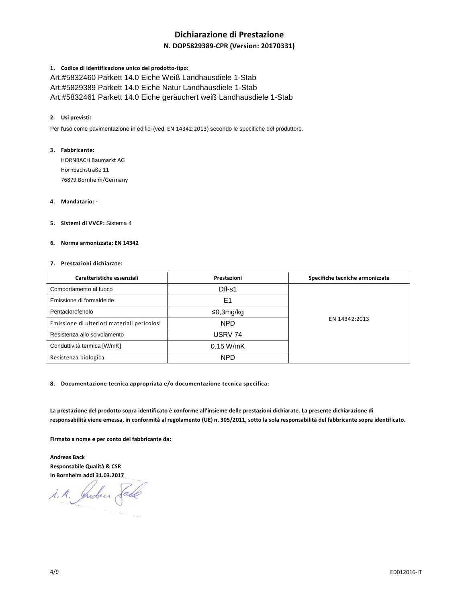# **Dichiarazione di Prestazione**

# **N. DOP5829389-CPR (Version: 20170331)**

### **1. Codice di identificazione unico del prodotto-tipo:**

Art.#5832460 Parkett 14.0 Eiche Weiß Landhausdiele 1-Stab Art.#5829389 Parkett 14.0 Eiche Natur Landhausdiele 1-Stab Art.#5832461 Parkett 14.0 Eiche geräuchert weiß Landhausdiele 1-Stab

## **2. Usi previsti:**

Per l'uso come pavimentazione in edifici (vedi EN 14342:2013) secondo le specifiche del produttore.

## **3. Fabbricante:**

HORNBACH Baumarkt AG Hornbachstraße 11 76879 Bornheim/Germany

## **4. Mandatario: -**

**5. Sistemi di VVCP:** Sistema 4

## **6. Norma armonizzata: EN 14342**

#### **7. Prestazioni dichiarate:**

| Caratteristiche essenziali                  | Prestazioni | Specifiche tecniche armonizzate |
|---------------------------------------------|-------------|---------------------------------|
| Comportamento al fuoco                      | Dfl-s1      |                                 |
| Emissione di formaldeide                    | E1          |                                 |
| Pentaclorofenolo                            | ≤0,3mg/kg   | EN 14342:2013                   |
| Emissione di ulteriori materiali pericolosi | <b>NPD</b>  |                                 |
| Resistenza allo scivolamento                | USRV 74     |                                 |
| Conduttività termica [W/mK]                 | $0.15$ W/mK |                                 |
| Resistenza biologica                        | <b>NPD</b>  |                                 |

**8. Documentazione tecnica appropriata e/o documentazione tecnica specifica:** 

**La prestazione del prodotto sopra identificato è conforme all'insieme delle prestazioni dichiarate. La presente dichiarazione di responsabilità viene emessa, in conformità al regolamento (UE) n. 305/2011, sotto la sola responsabilità del fabbricante sopra identificato.** 

**Firmato a nome e per conto del fabbricante da:** 

**Andreas Back Responsabile Qualità & CSR In Bornheim addì 31.03.2017**

i.A. Indees Sade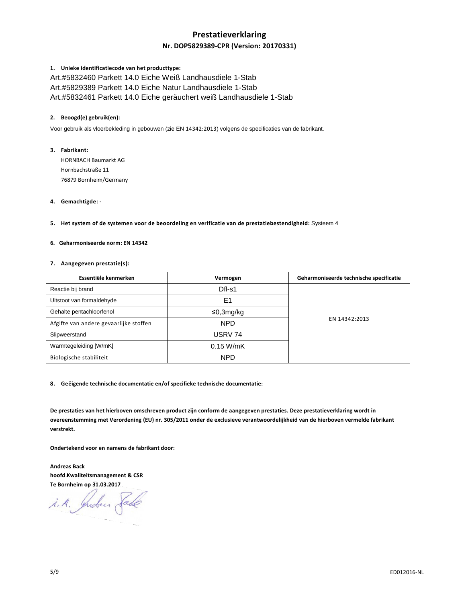# **Prestatieverklaring**

# **Nr. DOP5829389-CPR (Version: 20170331)**

## **1. Unieke identificatiecode van het producttype:**

Art.#5832460 Parkett 14.0 Eiche Weiß Landhausdiele 1-Stab Art.#5829389 Parkett 14.0 Eiche Natur Landhausdiele 1-Stab Art.#5832461 Parkett 14.0 Eiche geräuchert weiß Landhausdiele 1-Stab

## **2. Beoogd(e) gebruik(en):**

Voor gebruik als vloerbekleding in gebouwen (zie EN 14342:2013) volgens de specificaties van de fabrikant.

## **3. Fabrikant:**

HORNBACH Baumarkt AG Hornbachstraße 11 76879 Bornheim/Germany

## **4. Gemachtigde: -**

**5. Het system of de systemen voor de beoordeling en verificatie van de prestatiebestendigheid:** Systeem 4

# **6. Geharmoniseerde norm: EN 14342**

### **7. Aangegeven prestatie(s):**

| Essentiële kenmerken                   | Vermogen    | Geharmoniseerde technische specificatie |
|----------------------------------------|-------------|-----------------------------------------|
| Reactie bij brand                      | Dfl-s1      |                                         |
| Uitstoot van formaldehyde              | E1          |                                         |
| Gehalte pentachloorfenol               | ≤0,3mg/kg   |                                         |
| Afgifte van andere gevaarlijke stoffen | <b>NPD</b>  | EN 14342:2013                           |
| Slipweerstand                          | USRV 74     |                                         |
| Warmtegeleiding [W/mK]                 | $0.15$ W/mK |                                         |
| Biologische stabiliteit                | <b>NPD</b>  |                                         |

**8. Geëigende technische documentatie en/of specifieke technische documentatie:** 

**De prestaties van het hierboven omschreven product zijn conform de aangegeven prestaties. Deze prestatieverklaring wordt in overeenstemming met Verordening (EU) nr. 305/2011 onder de exclusieve verantwoordelijkheid van de hierboven vermelde fabrikant verstrekt.** 

**Ondertekend voor en namens de fabrikant door:** 

**Andreas Back hoofd Kwaliteitsmanagement & CSR Te Bornheim op 31.03.2017** 

i. A. Juden Sade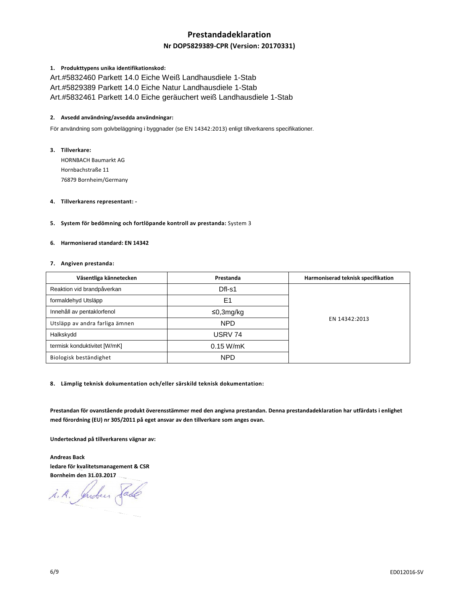# **Prestandadeklaration**

# **Nr DOP5829389-CPR (Version: 20170331)**

## **1. Produkttypens unika identifikationskod:**

Art.#5832460 Parkett 14.0 Eiche Weiß Landhausdiele 1-Stab Art.#5829389 Parkett 14.0 Eiche Natur Landhausdiele 1-Stab Art.#5832461 Parkett 14.0 Eiche geräuchert weiß Landhausdiele 1-Stab

## **2. Avsedd användning/avsedda användningar:**

För användning som golvbeläggning i byggnader (se EN 14342:2013) enligt tillverkarens specifikationer.

**3. Tillverkare:** 

HORNBACH Baumarkt AG Hornbachstraße 11 76879 Bornheim/Germany

### **4. Tillverkarens representant: -**

**5. System för bedömning och fortlöpande kontroll av prestanda:** System 3

# **6. Harmoniserad standard: EN 14342**

### **7. Angiven prestanda:**

| Väsentliga kännetecken         | Prestanda   | Harmoniserad teknisk specifikation |
|--------------------------------|-------------|------------------------------------|
| Reaktion vid brandpåverkan     | Dfl-s1      |                                    |
| formaldehyd Utsläpp            | E1          |                                    |
| Innehåll av pentaklorfenol     | ≤0,3mg/kg   |                                    |
| Utsläpp av andra farliga ämnen | <b>NPD</b>  | EN 14342:2013                      |
| Halkskydd                      | USRV 74     |                                    |
| termisk konduktivitet [W/mK]   | $0.15$ W/mK |                                    |
| Biologisk beständighet         | <b>NPD</b>  |                                    |

**8. Lämplig teknisk dokumentation och/eller särskild teknisk dokumentation:** 

**Prestandan för ovanstående produkt överensstämmer med den angivna prestandan. Denna prestandadeklaration har utfärdats i enlighet med förordning (EU) nr 305/2011 på eget ansvar av den tillverkare som anges ovan.** 

**Undertecknad på tillverkarens vägnar av:** 

**Andreas Back ledare för kvalitetsmanagement & CSR Bornheim den 31.03.2017** 

i.A. Indus Sade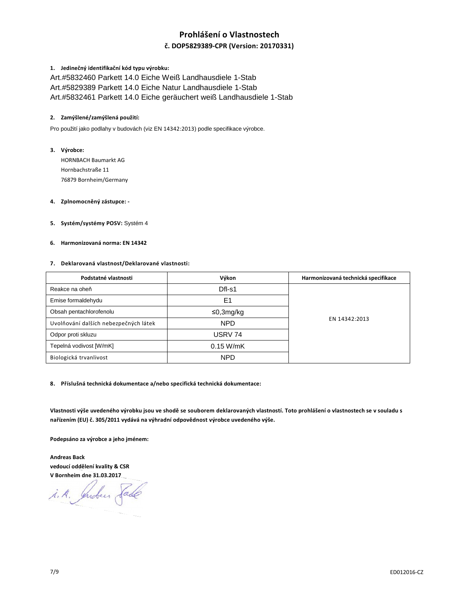# **Prohlášení o Vlastnostech**

# **č. DOP5829389-CPR (Version: 20170331)**

## **1. Jedinečný identifikační kód typu výrobku:**

Art.#5832460 Parkett 14.0 Eiche Weiß Landhausdiele 1-Stab Art.#5829389 Parkett 14.0 Eiche Natur Landhausdiele 1-Stab Art.#5832461 Parkett 14.0 Eiche geräuchert weiß Landhausdiele 1-Stab

## **2. Zamýšlené/zamýšlená použití:**

Pro použití jako podlahy v budovách (viz EN 14342:2013) podle specifikace výrobce.

## **3. Výrobce:**

HORNBACH Baumarkt AG Hornbachstraße 11 76879 Bornheim/Germany

# **4. Zplnomocněný zástupce: -**

**5. Systém/systémy POSV:** Systém 4

#### **6. Harmonizovaná norma: EN 14342**

### **7. Deklarovaná vlastnost/Deklarované vlastnosti:**

| Podstatné vlastnosti                  | Výkon       | Harmonizovaná technická specifikace |
|---------------------------------------|-------------|-------------------------------------|
| Reakce na oheň                        | Dfl-s1      |                                     |
| Emise formaldehydu                    | E1          |                                     |
| Obsah pentachlorofenolu               | ≤0,3mg/kg   | EN 14342:2013                       |
| Uvolňování dalších nebezpečných látek | <b>NPD</b>  |                                     |
| Odpor proti skluzu                    | USRV 74     |                                     |
| Tepelná vodivost [W/mK]               | $0.15$ W/mK |                                     |
| Biologická trvanlivost                | <b>NPD</b>  |                                     |

**8. Příslušná technická dokumentace a/nebo specifická technická dokumentace:** 

**Vlastnosti výše uvedeného výrobku jsou ve shodě se souborem deklarovaných vlastností. Toto prohlášení o vlastnostech se v souladu s nařízením (EU) č. 305/2011 vydává na výhradní odpovědnost výrobce uvedeného výše.** 

**Podepsáno za výrobce a jeho jménem:** 

**Andreas Back vedoucí oddělení kvality & CSR V Bornheim dne 31.03.2017** 

i.A. Indus Sade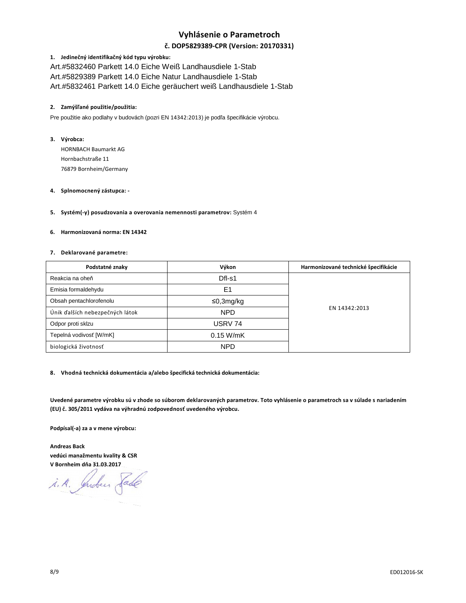# **Vyhlásenie o Parametroch**

# **č. DOP5829389-CPR (Version: 20170331)**

## **1. Jedinečný identifikačný kód typu výrobku:**

Art.#5832460 Parkett 14.0 Eiche Weiß Landhausdiele 1-Stab Art.#5829389 Parkett 14.0 Eiche Natur Landhausdiele 1-Stab Art.#5832461 Parkett 14.0 Eiche geräuchert weiß Landhausdiele 1-Stab

## **2. Zamýšľané použitie/použitia:**

Pre použitie ako podlahy v budovách (pozri EN 14342:2013) je podľa špecifikácie výrobcu.

# **3. Výrobca:**

HORNBACH Baumarkt AG Hornbachstraße 11 76879 Bornheim/Germany

#### **4. Splnomocnený zástupca: -**

## **5. Systém(-y) posudzovania a overovania nemennosti parametrov:** Systém 4

## **6. Harmonizovaná norma: EN 14342**

#### **7. Deklarované parametre:**

| Podstatné znaky                 | Výkon          | Harmonizované technické špecifikácie |
|---------------------------------|----------------|--------------------------------------|
| Reakcia na oheň                 | $DfI-S1$       |                                      |
| Emisia formaldehydu             | E <sub>1</sub> |                                      |
| Obsah pentachlorofenolu         | ≤0,3mg/kg      | EN 14342:2013                        |
| Únik ďalších nebezpečných látok | <b>NPD</b>     |                                      |
| Odpor proti sklzu               | USRV 74        |                                      |
| Tepelná vodivosť [W/mK]         | $0.15$ W/mK    |                                      |
| biologická životnosť            | <b>NPD</b>     |                                      |

## **8. Vhodná technická dokumentácia a/alebo špecifická technická dokumentácia:**

**Uvedené parametre výrobku sú v zhode so súborom deklarovaných parametrov. Toto vyhlásenie o parametroch sa v súlade s nariadením (EU) č. 305/2011 vydáva na výhradnú zodpovednosť uvedeného výrobcu.** 

**Podpísal(-a) za a v mene výrobcu:** 

**Andreas Back vedúci manažmentu kvality & CSR V Bornheim dňa 31.03.2017** 

i.A. Indees Sade